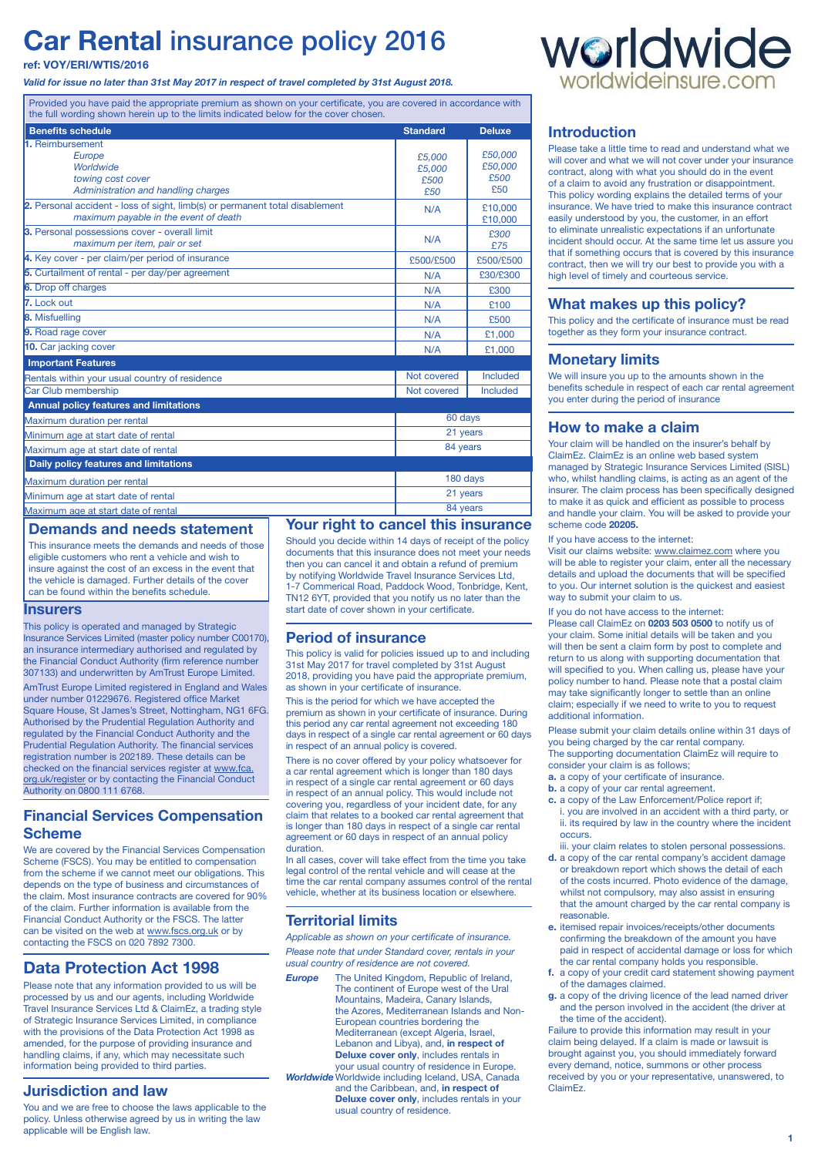# **Car Rental** insurance policy 2016

### **ref: VOY/ERI/WTIS/2016**

*Valid for issue no later than 31st May 2017 in respect of travel completed by 31st August 2018.*

Provided you have paid the appropriate premium as shown on your certificate, you are covered in accordance with the full wording shown herein up to the limits indicated below for the cover chosen.

| <b>Benefits schedule</b>                                                                                              | <b>Standard</b> | <b>Deluxe</b>      |
|-----------------------------------------------------------------------------------------------------------------------|-----------------|--------------------|
| 1. Reimbursement                                                                                                      |                 |                    |
| Europe                                                                                                                | £5,000          | £50.000            |
| Worldwide                                                                                                             | £5.000          | £50,000            |
| towing cost cover                                                                                                     | £500            | £500               |
| Administration and handling charges                                                                                   | £50             | £50                |
| 2. Personal accident - loss of sight, limb(s) or permanent total disablement<br>maximum payable in the event of death | N/A             | £10,000<br>£10,000 |
| 3. Personal possessions cover - overall limit<br>maximum per item, pair or set                                        | N/A             | £300               |
|                                                                                                                       |                 | £75                |
| 4. Key cover - per claim/per period of insurance                                                                      | £500/£500       | £500/£500          |
| 5. Curtailment of rental - per day/per agreement                                                                      | N/A             | £30/£300           |
| 6. Drop off charges                                                                                                   | N/A             | £300               |
| 7. Lock out                                                                                                           | N/A             | £100               |
| <b>8.</b> Misfuelling                                                                                                 | N/A             | £500               |
| 9. Road rage cover                                                                                                    | N/A             | £1,000             |
| 10. Car jacking cover                                                                                                 | N/A             | £1,000             |
| <b>Important Features</b>                                                                                             |                 |                    |
| Rentals within your usual country of residence                                                                        | Not covered     | <b>Included</b>    |
| Car Club membership                                                                                                   | Not covered     | Included           |
| <b>Annual policy features and limitations</b>                                                                         |                 |                    |
| Maximum duration per rental                                                                                           | 60 days         |                    |
| Minimum age at start date of rental                                                                                   | 21 years        |                    |
| Maximum age at start date of rental                                                                                   | 84 years        |                    |
| Daily policy features and limitations                                                                                 |                 |                    |
| Maximum duration per rental                                                                                           | 180 days        |                    |
| Minimum age at start date of rental                                                                                   | 21 years        |                    |
| Maximum age at start date of rental                                                                                   | 84 years        |                    |

# **Demands and needs statement**

This insurance meets the demands and needs of those eligible customers who rent a vehicle and wish to insure against the cost of an excess in the event that the vehicle is damaged. Further details of the cover can be found within the benefits schedule.

### **Insurers**

This policy is operated and managed by Strategic Insurance Services Limited (master policy number C00170), an insurance intermediary authorised and regulated by the Financial Conduct Authority (firm reference number 307133) and underwritten by AmTrust Europe Limited.

AmTrust Europe Limited registered in England and Wales under number 01229676. Registered office Market Square House, St James's Street, Nottingham, NG1 6FG. Authorised by the Prudential Regulation Authority and regulated by the Financial Conduct Authority and the Prudential Regulation Authority. The financial services registration number is 202189. These details can be checked on the financial services register at www.fca. org.uk/register or by contacting the Financial Conduct Authority on 0800 111 6768.

# **Financial Services Compensation Scheme**

We are covered by the Financial Services Compensation Scheme (FSCS). You may be entitled to compensation from the scheme if we cannot meet our obligations. This depends on the type of business and circumstances of the claim. Most insurance contracts are covered for 90% of the claim. Further information is available from the Financial Conduct Authority or the FSCS. The latter can be visited on the web at www.fscs.org.uk or by contacting the FSCS on 020 7892 7300.

# **Data Protection Act 1998**

Please note that any information provided to us will be processed by us and our agents, including Worldwide Travel Insurance Services Ltd & ClaimEz, a trading style of Strategic Insurance Services Limited, in compliance with the provisions of the Data Protection Act 1998 as amended, for the purpose of providing insurance and handling claims, if any, which may necessitate such information being provided to third parties.

# **Jurisdiction and law**

You and we are free to choose the laws applicable to the policy. Unless otherwise agreed by us in writing the law applicable will be English law.

**Your right to cancel this insurance** Should you decide within 14 days of receipt of the policy documents that this insurance does not meet your needs then you can cancel it and obtain a refund of premium by notifying Worldwide Travel Insurance Services Ltd, 1-7 Commerical Road, Paddock Wood, Tonbridge, Kent, TN12 6YT, provided that you notify us no later than the start date of cover shown in your certificate.

# **Period of insurance**

This policy is valid for policies issued up to and including 31st May 2017 for travel completed by 31st August 2018, providing you have paid the appropriate premium, as shown in your certificate of insurance.

This is the period for which we have accepted the premium as shown in your certificate of insurance. During this period any car rental agreement not exceeding 180 days in respect of a single car rental agreement or 60 days in respect of an annual policy is covered.

There is no cover offered by your policy whatsoever for a car rental agreement which is longer than 180 days in respect of a single car rental agreement or 60 days in respect of an annual policy. This would include not covering you, regardless of your incident date, for any claim that relates to a booked car rental agreement that is longer than 180 days in respect of a single car rental agreement or 60 days in respect of an annual policy duration.

In all cases, cover will take effect from the time you take legal control of the rental vehicle and will cease at the time the car rental company assumes control of the rental vehicle, whether at its business location or elsewhere

# **Territorial limits**

*Applicable as shown on your certificate of insurance. Please note that under Standard cover, rentals in your usual country of residence are not covered.*

- **Europe** The United Kingdom, Republic of Ireland, The continent of Europe west of the Ural Mountains, Madeira, Canary Islands, the Azores, Mediterranean Islands and Non-European countries bordering the Mediterranean (except Algeria, Israel, Lebanon and Libya), and, **in respect of Deluxe cover only**, includes rentals in your usual country of residence in Europe.
- **Worldwide** Worldwide including Iceland, USA, Canada and the Caribbean, and, **in respect of Deluxe cover only**, includes rentals in your usual country of residence.



# **Introduction**

Please take a little time to read and understand what we will cover and what we will not cover under your insurance contract, along with what you should do in the event of a claim to avoid any frustration or disappointment. This policy wording explains the detailed terms of your insurance. We have tried to make this insurance contract easily understood by you, the customer, in an effort to eliminate unrealistic expectations if an unfortunate incident should occur. At the same time let us assure you that if something occurs that is covered by this insurance contract, then we will try our best to provide you with a high level of timely and courteous service.

# **What makes up this policy?**

This policy and the certificate of insurance must be read together as they form your insurance contract.

# **Monetary limits**

We will insure you up to the amounts shown in the benefits schedule in respect of each car rental agreement you enter during the period of insurance

### **How to make a claim**

Your claim will be handled on the insurer's behalf by ClaimEz. ClaimEz is an online web based system managed by Strategic Insurance Services Limited (SISL) who, whilst handling claims, is acting as an agent of the insurer. The claim process has been specifically designed to make it as quick and efficient as possible to process and handle your claim. You will be asked to provide your scheme code **20205.**

### If you have access to the internet:

Visit our claims website: www.claimez.com where you will be able to register your claim, enter all the necessary details and upload the documents that will be specified to you. Our internet solution is the quickest and easiest way to submit your claim to us.

If you do not have access to the internet: Please call ClaimEz on **0203 503 0500** to notify us of your claim. Some initial details will be taken and you will then be sent a claim form by post to complete and return to us along with supporting documentation that will specified to you. When calling us, please have your policy number to hand. Please note that a postal claim may take significantly longer to settle than an online claim; especially if we need to write to you to request additional information.

Please submit your claim details online within 31 days of you being charged by the car rental company. The supporting documentation ClaimEz will require to consider your claim is as follows;

- **a.** a copy of your certificate of insurance.
- **b.** a copy of your car rental agreement.
- **c.** a copy of the Law Enforcement/Police report if; i. you are involved in an accident with a third party, or ii. its required by law in the country where the incident occurs.
- iii. your claim relates to stolen personal possessions.
- **d.** a copy of the car rental company's accident damage or breakdown report which shows the detail of each of the costs incurred. Photo evidence of the damage, whilst not compulsory, may also assist in ensuring that the amount charged by the car rental company is reasonable.
- **e.** itemised repair invoices/receipts/other documents confirming the breakdown of the amount you have paid in respect of accidental damage or loss for which the car rental company holds you responsible.
- **f.** a copy of your credit card statement showing payment of the damages claimed.
- **g.** a copy of the driving licence of the lead named driver and the person involved in the accident (the driver at the time of the accident).

Failure to provide this information may result in your claim being delayed. If a claim is made or lawsuit is brought against you, you should immediately forward every demand, notice, summons or other process received by you or your representative, unanswered, to ClaimEz.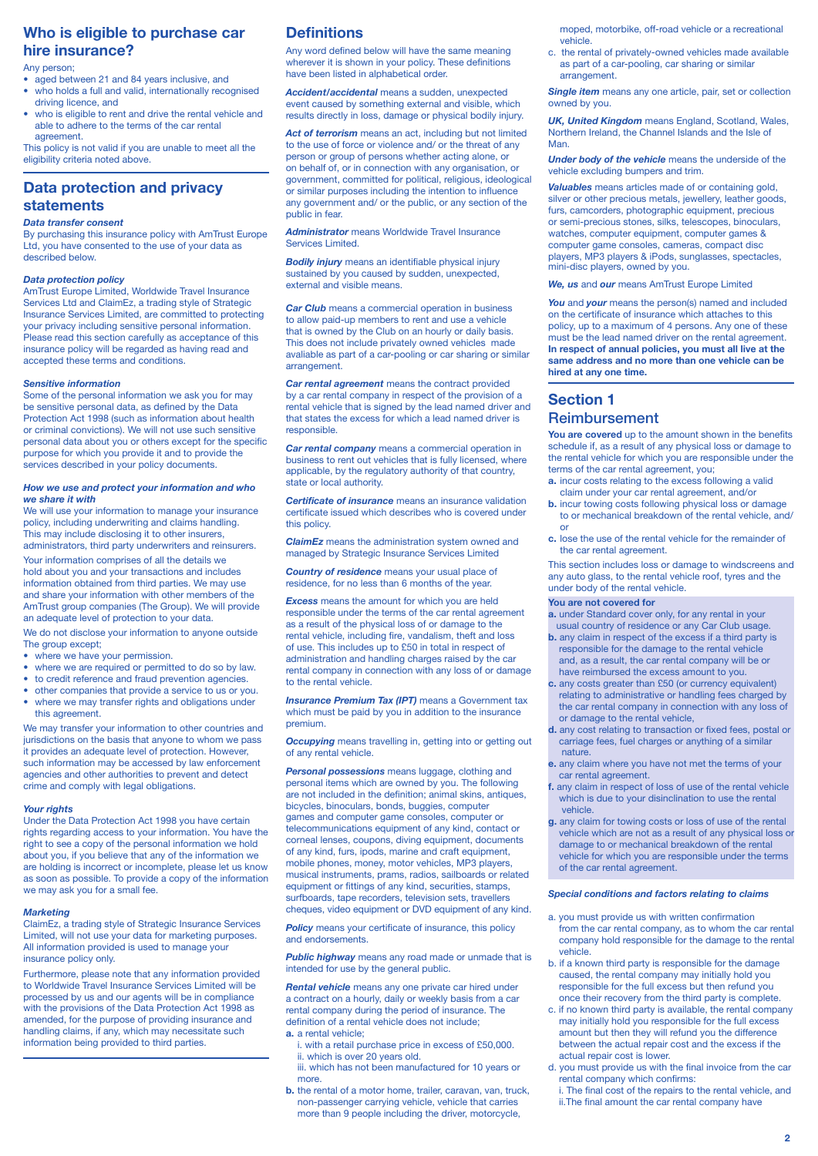# **Who is eligible to purchase car hire insurance?**

#### Any person;

- aged between 21 and 84 years inclusive, and
- who holds a full and valid, internationally recognised driving licence, and
- who is eligible to rent and drive the rental vehicle and able to adhere to the terms of the car rental agreement.

This policy is not valid if you are unable to meet all the eligibility criteria noted above.

# **Data protection and privacy statements**

#### *Data transfer consent*

By purchasing this insurance policy with AmTrust Europe Ltd, you have consented to the use of your data as described below.

#### *Data protection policy*

AmTrust Europe Limited, Worldwide Travel Insurance Services Ltd and ClaimEz, a trading style of Strategic Insurance Services Limited, are committed to protecting your privacy including sensitive personal information. Please read this section carefully as acceptance of this insurance policy will be regarded as having read and accepted these terms and conditions.

#### *Sensitive information*

Some of the personal information we ask you for may be sensitive personal data, as defined by the Data Protection Act 1998 (such as information about health or criminal convictions). We will not use such sensitive personal data about you or others except for the specific purpose for which you provide it and to provide the services described in your policy documents.

#### *How we use and protect your information and who we share it with*

We will use your information to manage your insurance policy, including underwriting and claims handling. This may include disclosing it to other insurers, administrators, third party underwriters and reinsurers.

Your information comprises of all the details we hold about you and your transactions and includes information obtained from third parties. We may use and share your information with other members of the AmTrust group companies (The Group). We will provide an adequate level of protection to your data.

We do not disclose your information to anyone outside The group except:

- where we have your permission.
- where we are required or permitted to do so by law.
- to credit reference and fraud prevention agencies.
- other companies that provide a service to us or you.
- where we may transfer rights and obligations under this agreement.

We may transfer your information to other countries and jurisdictions on the basis that anyone to whom we pass it provides an adequate level of protection. However, such information may be accessed by law enforcement agencies and other authorities to prevent and detect crime and comply with legal obligations.

#### *Your rights*

Under the Data Protection Act 1998 you have certain rights regarding access to your information. You have the right to see a copy of the personal information we hold about you, if you believe that any of the information we are holding is incorrect or incomplete, please let us know as soon as possible. To provide a copy of the information we may ask you for a small fee.

#### *Marketing*

ClaimEz, a trading style of Strategic Insurance Services Limited, will not use your data for marketing purposes. All information provided is used to manage your insurance policy only.

Furthermore, please note that any information provided to Worldwide Travel Insurance Services Limited will be processed by us and our agents will be in compliance with the provisions of the Data Protection Act 1998 as amended, for the purpose of providing insurance and handling claims, if any, which may necessitate such information being provided to third parties.

# **Definitions**

Any word defined below will have the same meaning wherever it is shown in your policy. These definitions have been listed in alphabetical order.

*Accident/accidental* means a sudden, unexpected event caused by something external and visible, which results directly in loss, damage or physical bodily injury.

*Act of terrorism* means an act, including but not limited to the use of force or violence and/ or the threat of any person or group of persons whether acting alone, or on behalf of, or in connection with any organisation, or government, committed for political, religious, ideological or similar purposes including the intention to influence any government and/ or the public, or any section of the public in fear.

#### *Administrator* means Worldwide Travel Insurance Services Limited.

*Bodily injury* means an identifiable physical injury sustained by you caused by sudden, unexpected, external and visible means.

*Car Club* means a commercial operation in business to allow paid-up members to rent and use a vehicle that is owned by the Club on an hourly or daily basis. This does not include privately owned vehicles made avaliable as part of a car-pooling or car sharing or similar arrangement.

*Car rental agreement* means the contract provided by a car rental company in respect of the provision of a rental vehicle that is signed by the lead named driver and that states the excess for which a lead named driver is responsible.

*Car rental company* means a commercial operation in business to rent out vehicles that is fully licensed, where applicable, by the regulatory authority of that country, state or local authority.

*Certificate of insurance* means an insurance validation certificate issued which describes who is covered under this policy.

*ClaimEz* means the administration system owned and managed by Strategic Insurance Services Limited

*Country of residence* means your usual place of residence, for no less than 6 months of the year.

*Excess* means the amount for which you are held responsible under the terms of the car rental agreement as a result of the physical loss of or damage to the rental vehicle, including fire, vandalism, theft and loss of use. This includes up to £50 in total in respect of administration and handling charges raised by the car rental company in connection with any loss of or damage to the rental vehicle.

**Insurance Premium Tax (IPT)** means a Government tax which must be paid by you in addition to the insurance premium.

*Occupying* means travelling in, getting into or getting out of any rental vehicle.

*Personal possessions* means luggage, clothing and personal items which are owned by you. The following are not included in the definition; animal skins, antiques, bicycles, binoculars, bonds, buggies, computer games and computer game consoles, computer or telecommunications equipment of any kind, contact or corneal lenses, coupons, diving equipment, documents of any kind, furs, ipods, marine and craft equipment, mobile phones, money, motor vehicles, MP3 players, musical instruments, prams, radios, sailboards or related equipment or fittings of any kind, securities, stamps, surfboards, tape recorders, television sets, travellers cheques, video equipment or DVD equipment of any kind.

**Policy** means your certificate of insurance, this policy and endorsements.

*Public highway* means any road made or unmade that is intended for use by the general public.

*Rental vehicle* means any one private car hired under a contract on a hourly, daily or weekly basis from a car rental company during the period of insurance. The definition of a rental vehicle does not include; **a.** a rental vehicle;

- i. with a retail purchase price in excess of £50,000. ii. which is over 20 years old.
- iii. which has not been manufactured for 10 years or more.
- **b.** the rental of a motor home, trailer, caravan, van, truck, non-passenger carrying vehicle, vehicle that carries more than 9 people including the driver, motorcycle,

moped, motorbike, off-road vehicle or a recreational vehicle.

c. the rental of privately-owned vehicles made available as part of a car-pooling, car sharing or similar arrangement.

**Single item** means any one article, pair, set or collection owned by you.

*UK, United Kingdom* means England, Scotland, Wales, Northern Ireland, the Channel Islands and the Isle of **Man** 

*Under body of the vehicle* means the underside of the vehicle excluding bumpers and trim.

*Valuables* means articles made of or containing gold, silver or other precious metals, jewellery, leather goods, furs, camcorders, photographic equipment, precious or semi-precious stones, silks, telescopes, binoculars, watches, computer equipment, computer games & computer game consoles, cameras, compact disc players, MP3 players & iPods, sunglasses, spectacles, mini-disc players, owned by you.

*We, us* and *our* means AmTrust Europe Limited

*You* and *your* means the person(s) named and included on the certificate of insurance which attaches to this policy, up to a maximum of 4 persons. Any one of these must be the lead named driver on the rental agreement. **In respect of annual policies, you must all live at the same address and no more than one vehicle can be hired at any one time.**

# **Section 1**  Reimbursement

**You are covered** up to the amount shown in the benefits schedule if, as a result of any physical loss or damage to the rental vehicle for which you are responsible under the terms of the car rental agreement, you;

- **a.** incur costs relating to the excess following a valid claim under your car rental agreement, and/or
- **b.** incur towing costs following physical loss or damage to or mechanical breakdown of the rental vehicle, and/ or
- **c.** lose the use of the rental vehicle for the remainder of the car rental agreement.

This section includes loss or damage to windscreens and any auto glass, to the rental vehicle roof, tyres and the under body of the rental vehicle.

#### **You are not covered for**

**a.** under Standard cover only, for any rental in your usual country of residence or any Car Club usage.

- **b.** any claim in respect of the excess if a third party is responsible for the damage to the rental vehicle and, as a result, the car rental company will be or have reimbursed the excess amount to you.
- **c.** any costs greater than £50 (or currency equivalent) relating to administrative or handling fees charged by the car rental company in connection with any loss of or damage to the rental vehicle,
- **d.** any cost relating to transaction or fixed fees, postal or carriage fees, fuel charges or anything of a similar nature.
- **e.** any claim where you have not met the terms of your car rental agreement.
- **f.** any claim in respect of loss of use of the rental vehicle which is due to your disinclination to use the rental vehicle.
- **g.** any claim for towing costs or loss of use of the rental vehicle which are not as a result of any physical loss or damage to or mechanical breakdown of the rental vehicle for which you are responsible under the terms of the car rental agreement.

#### *Special conditions and factors relating to claims*

- a. you must provide us with written confirmation from the car rental company, as to whom the car rental company hold responsible for the damage to the rental vehicle.
- b. if a known third party is responsible for the damage caused, the rental company may initially hold you responsible for the full excess but then refund you once their recovery from the third party is complete.
- c. if no known third party is available, the rental company may initially hold you responsible for the full excess amount but then they will refund you the difference between the actual repair cost and the excess if the actual repair cost is lower.
- d. you must provide us with the final invoice from the car rental company which confirms:
	- i. The final cost of the repairs to the rental vehicle, and ii.The final amount the car rental company have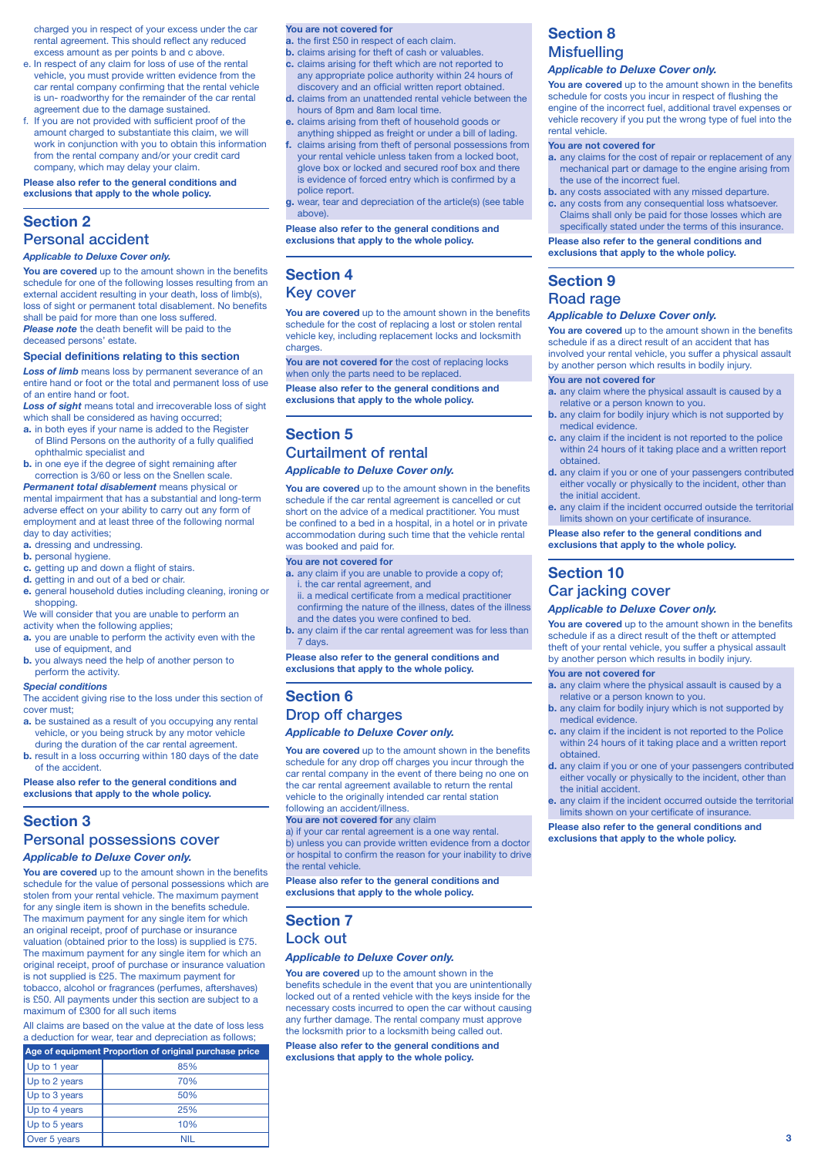charged you in respect of your excess under the car rental agreement. This should reflect any reduced excess amount as per points b and c above.

- e. In respect of any claim for loss of use of the rental vehicle, you must provide written evidence from the car rental company confirming that the rental vehicle is un- roadworthy for the remainder of the car rental agreement due to the damage sustained.
- f. If you are not provided with sufficient proof of the amount charged to substantiate this claim, we will work in conjunction with you to obtain this information from the rental company and/or your credit card company, which may delay your claim.

**Please also refer to the general conditions and exclusions that apply to the whole policy.**

# **Section 2**

# Personal accident

*Applicable to Deluxe Cover only.*

**You are covered** up to the amount shown in the benefits schedule for one of the following losses resulting from an external accident resulting in your death, loss of limb(s). loss of sight or permanent total disablement. No benefits shall be paid for more than one loss suffered. **Please note** the death benefit will be paid to the deceased persons' estate.

#### **Special definitions relating to this section**

*Loss of limb* means loss by permanent severance of an entire hand or foot or the total and permanent loss of use of an entire hand or foot.

*Loss of sight* means total and irrecoverable loss of sight which shall be considered as having occurred;

- **a.** in both eyes if your name is added to the Register of Blind Persons on the authority of a fully qualified ophthalmic specialist and
- **b.** in one eye if the degree of sight remaining after correction is 3/60 or less on the Snellen scale.

*Permanent total disablement* means physical or mental impairment that has a substantial and long-term adverse effect on your ability to carry out any form of employment and at least three of the following normal day to day activities;

- **a.** dressing and undressing.
- **b.** personal hygiene.
- **c.** getting up and down a flight of stairs.
- **d.** getting in and out of a bed or chair.
- **e.** general household duties including cleaning, ironing or shopping.

We will consider that you are unable to perform an activity when the following applies;

- **a.** you are unable to perform the activity even with the use of equipment, and
- **b.** you always need the help of another person to perform the activity.

#### *Special conditions*

The accident giving rise to the loss under this section of cover must;

- **a.** be sustained as a result of you occupying any rental vehicle, or you being struck by any motor vehicle during the duration of the car rental agreement.
- **b.** result in a loss occurring within 180 days of the date of the accident.

**Please also refer to the general conditions and exclusions that apply to the whole policy.**

# **Section 3**

### Personal possessions cover

### *Applicable to Deluxe Cover only.*

**You are covered** up to the amount shown in the benefits schedule for the value of personal possessions which are stolen from your rental vehicle. The maximum payment for any single item is shown in the benefits schedule. The maximum payment for any single item for which an original receipt, proof of purchase or insurance valuation (obtained prior to the loss) is supplied is £75. The maximum payment for any single item for which an original receipt, proof of purchase or insurance valuation is not supplied is £25. The maximum payment for tobacco, alcohol or fragrances (perfumes, aftershaves) is £50. All payments under this section are subject to a maximum of £300 for all such items

All claims are based on the value at the date of loss less a deduction for wear, tear and depreciation as follows;

| Age of equipment Proportion of original purchase price |     |  |
|--------------------------------------------------------|-----|--|
| Up to 1 year                                           | 85% |  |
| Up to 2 years                                          | 70% |  |
| Up to 3 years                                          | 50% |  |
| Up to 4 years                                          | 25% |  |
| Up to 5 years                                          | 10% |  |
| Over 5 years                                           | NII |  |

#### **You are not covered for**

**a.** the first £50 in respect of each claim.

- **b.** claims arising for theft of cash or valuables.
- **c.** claims arising for theft which are not reported to any appropriate police authority within 24 hours of discovery and an official written report obtained.
- **d.** claims from an unattended rental vehicle between the hours of 8pm and 8am local time.
- **e.** claims arising from theft of household goods or anything shipped as freight or under a bill of lading.
- **f.** claims arising from theft of personal possessions from your rental vehicle unless taken from a locked boot, glove box or locked and secured roof box and there is evidence of forced entry which is confirmed by a police report.
- **g.** wear, tear and depreciation of the article(s) (see table above).

**Please also refer to the general conditions and exclusions that apply to the whole policy.**

# **Section 4**

# Key cover

**You are covered** up to the amount shown in the benefits schedule for the cost of replacing a lost or stolen rental vehicle key, including replacement locks and locksmith charges

**You are not covered for** the cost of replacing locks when only the parts need to be replaced.

**Please also refer to the general conditions and exclusions that apply to the whole policy.**

# **Section 5** Curtailment of rental

### *Applicable to Deluxe Cover only.*

**You are covered** up to the amount shown in the benefits schedule if the car rental agreement is cancelled or cut short on the advice of a medical practitioner. You must be confined to a bed in a hospital, in a hotel or in private accommodation during such time that the vehicle rental was booked and paid for.

#### **You are not covered for**

- **a.** any claim if you are unable to provide a copy of; i. the car rental agreement, and
- ii. a medical certificate from a medical practitioner confirming the nature of the illness, dates of the illness
- and the dates you were confined to bed. **b.** any claim if the car rental agreement was for less than
- 7 days.

**Please also refer to the general conditions and exclusions that apply to the whole policy.**

# **Section 6** Drop off charges

### *Applicable to Deluxe Cover only.*

**You are covered** up to the amount shown in the benefits schedule for any drop off charges you incur through the car rental company in the event of there being no one on the car rental agreement available to return the rental vehicle to the originally intended car rental station following an accident/illness

You are not covered for any claim a) if your car rental agreement is a one way rental. b) unless you can provide written evidence from a doctor or hospital to confirm the reason for your inability to drive the rental vehicle.

**Please also refer to the general conditions and exclusions that apply to the whole policy.**

# **Section 7** Lock out

#### *Applicable to Deluxe Cover only.*

**You are covered** up to the amount shown in the benefits schedule in the event that you are unintentionally locked out of a rented vehicle with the keys inside for the necessary costs incurred to open the car without causing any further damage. The rental company must approve the locksmith prior to a locksmith being called out.

**Please also refer to the general conditions and exclusions that apply to the whole policy.**

# **Section 8 Misfuelling**

### *Applicable to Deluxe Cover only.*

**You are covered** up to the amount shown in the benefits schedule for costs you incur in respect of flushing the engine of the incorrect fuel, additional travel expenses or vehicle recovery if you put the wrong type of fuel into the rental vehicle.

### **You are not covered for**

- **a.** any claims for the cost of repair or replacement of any mechanical part or damage to the engine arising from the use of the incorrect fuel.
- **b.** any costs associated with any missed departure. **c.** any costs from any consequential loss whatsoever. Claims shall only be paid for those losses which are specifically stated under the terms of this insurance.

**Please also refer to the general conditions and exclusions that apply to the whole policy.**

# **Section 9**

### Road rage

### *Applicable to Deluxe Cover only.*

You are covered up to the amount shown in the benefits schedule if as a direct result of an accident that has involved your rental vehicle, you suffer a physical assault by another person which results in bodily injury.

#### **You are not covered for**

- **a.** any claim where the physical assault is caused by a relative or a person known to you.
- **b.** any claim for bodily injury which is not supported by medical evidence.
- **c.** any claim if the incident is not reported to the police within 24 hours of it taking place and a written report obtained.
- **d.** any claim if you or one of your passengers contributed either vocally or physically to the incident, other than the initial accident.
- **e.** any claim if the incident occurred outside the territorial limits shown on your certificate of insurance.

### **Please also refer to the general conditions and exclusions that apply to the whole policy.**

# **Section 10** Car jacking cover

### *Applicable to Deluxe Cover only.*

**You are covered** up to the amount shown in the benefits schedule if as a direct result of the theft or attempted theft of your rental vehicle, you suffer a physical assault by another person which results in bodily injury.

### **You are not covered for**

- **a.** any claim where the physical assault is caused by a relative or a person known to you.
- **b.** any claim for bodily injury which is not supported by medical evidence.
- **c.** any claim if the incident is not reported to the Police within 24 hours of it taking place and a written report obtained.
- **d.** any claim if you or one of your passengers contributed either vocally or physically to the incident, other than the initial accident.
- **e.** any claim if the incident occurred outside the territorial limits shown on your certificate of insurance.

**Please also refer to the general conditions and exclusions that apply to the whole policy.**